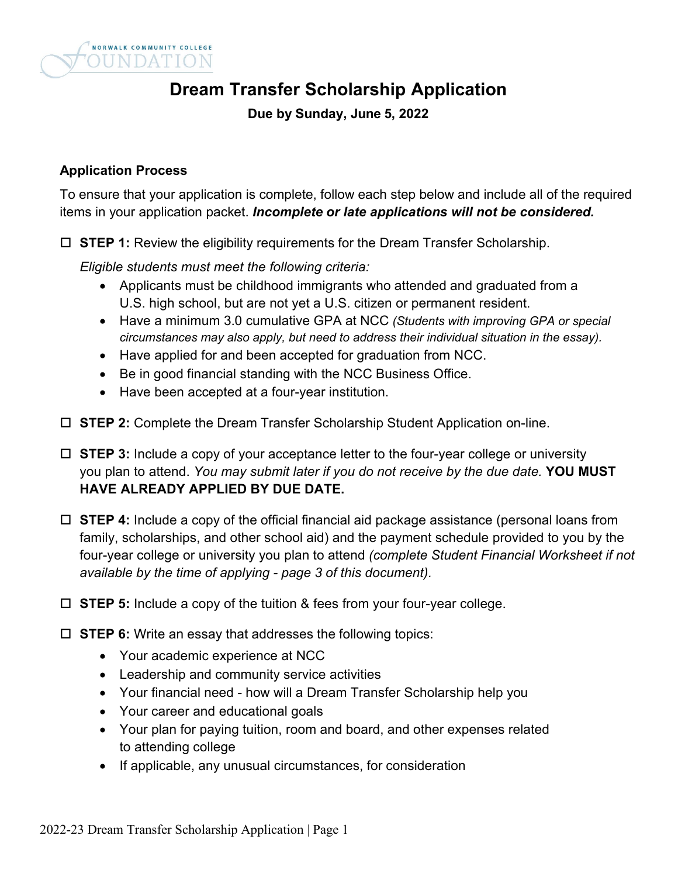

# **Dream Transfer Scholarship Application**

**Due by Sunday, June 5, 2022**

#### **Application Process**

To ensure that your application is complete, follow each step below and include all of the required items in your application packet. *Incomplete or late applications will not be considered.*

**STEP 1:** Review the eligibility requirements for the Dream Transfer Scholarship.

*Eligible students must meet the following criteria:*

- Applicants must be childhood immigrants who attended and graduated from a U.S. high school, but are not yet a U.S. citizen or permanent resident.
- Have a minimum 3.0 cumulative GPA at NCC *(Students with improving GPA or special circumstances may also apply, but need to address their individual situation in the essay).*
- Have applied for and been accepted for graduation from NCC.
- Be in good financial standing with the NCC Business Office.
- Have been accepted at a four-year institution.
- **STEP 2:** Complete the Dream Transfer Scholarship Student Application on-line.
- **STEP 3:** Include a copy of your acceptance letter to the four-year college or university you plan to attend. *You may submit later if you do not receive by the due date.* **YOU MUST HAVE ALREADY APPLIED BY DUE DATE.**
- **STEP 4:** Include a copy of the official financial aid package assistance (personal loans from family, scholarships, and other school aid) and the payment schedule provided to you by the four-year college or university you plan to attend *(complete Student Financial Worksheet if not available by the time of applying - page 3 of this document).*
- **STEP 5:** Include a copy of the tuition & fees from your four-year college.
- **STEP 6:** Write an essay that addresses the following topics:
	- Your academic experience at NCC
	- Leadership and community service activities
	- Your financial need how will a Dream Transfer Scholarship help you
	- Your career and educational goals
	- Your plan for paying tuition, room and board, and other expenses related to attending college
	- If applicable, any unusual circumstances, for consideration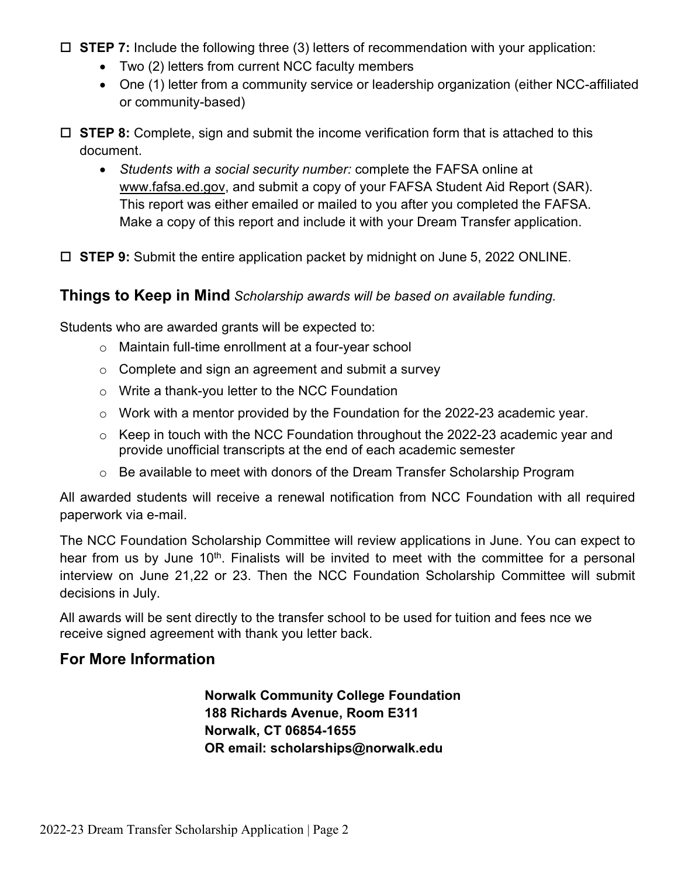- **STEP 7:** Include the following three (3) letters of recommendation with your application:
	- Two (2) letters from current NCC faculty members
	- One (1) letter from a community service or leadership organization (either NCC-affiliated or community-based)
- **STEP 8:** Complete, sign and submit the income verification form that is attached to this document.
	- *Students with a social security number:* complete the FAFSA online at [www.fafsa.ed.gov,](http://www.fafsa.ed.gov/) and submit a copy of your FAFSA Student Aid Report (SAR). This report was either emailed or mailed to you after you completed the FAFSA. Make a copy of this report and include it with your Dream Transfer application.
- **STEP 9:** Submit the entire application packet by midnight on June 5, 2022 ONLINE.

### **Things to Keep in Mind** *Scholarship awards will be based on available funding.*

Students who are awarded grants will be expected to:

- o Maintain full-time enrollment at a four-year school
- $\circ$  Complete and sign an agreement and submit a survey
- o Write a thank-you letter to the NCC Foundation
- o Work with a mentor provided by the Foundation for the 2022-23 academic year.
- $\circ$  Keep in touch with the NCC Foundation throughout the 2022-23 academic year and provide unofficial transcripts at the end of each academic semester
- o Be available to meet with donors of the Dream Transfer Scholarship Program

All awarded students will receive a renewal notification from NCC Foundation with all required paperwork via e-mail.

The NCC Foundation Scholarship Committee will review applications in June. You can expect to hear from us by June 10<sup>th</sup>. Finalists will be invited to meet with the committee for a personal interview on June 21,22 or 23. Then the NCC Foundation Scholarship Committee will submit decisions in July.

All awards will be sent directly to the transfer school to be used for tuition and fees nce we receive signed agreement with thank you letter back.

## **For More Information**

**Norwalk Community College Foundation 188 Richards Avenue, Room E311 Norwalk, CT 06854-1655 OR email: scholarships@norwalk.edu**